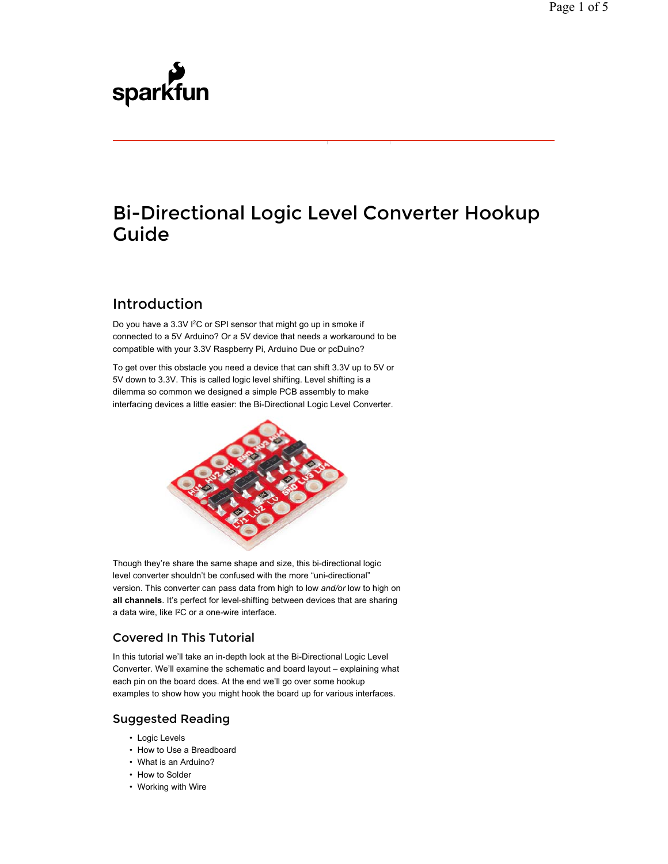# sparkfun

## Bi-Directional Logic Level Converter Hookup Guide

## Introduction

Do you have a 3.3V I<sup>2</sup>C or SPI sensor that might go up in smoke if connected to a 5V Arduino? Or a 5V device that needs a workaround to be compatible with your 3.3V Raspberry Pi, Arduino Due or pcDuino?

To get over this obstacle you need a device that can shift 3.3V up to 5V or 5V down to 3.3V. This is called logic level shifting. Level shifting is a dilemma so common we designed a simple PCB assembly to make interfacing devices a little easier: the Bi-Directional Logic Level Converter.



Though they're share the same shape and size, this bi-directional logic level converter shouldn't be confused with the more "uni-directional" version. This converter can pass data from high to low *and/or* low to high on **all channels**. It's perfect for level-shifting between devices that are sharing a data wire, like I<sup>2</sup>C or a one-wire interface.

## Covered In This Tutorial

In this tutorial we'll take an in-depth look at the Bi-Directional Logic Level Converter. We'll examine the schematic and board layout – explaining what each pin on the board does. At the end we'll go over some hookup examples to show how you might hook the board up for various interfaces.

## Suggested Reading

- Logic Levels
- How to Use a Breadboard
- What is an Arduino?
- How to Solder
- Working with Wire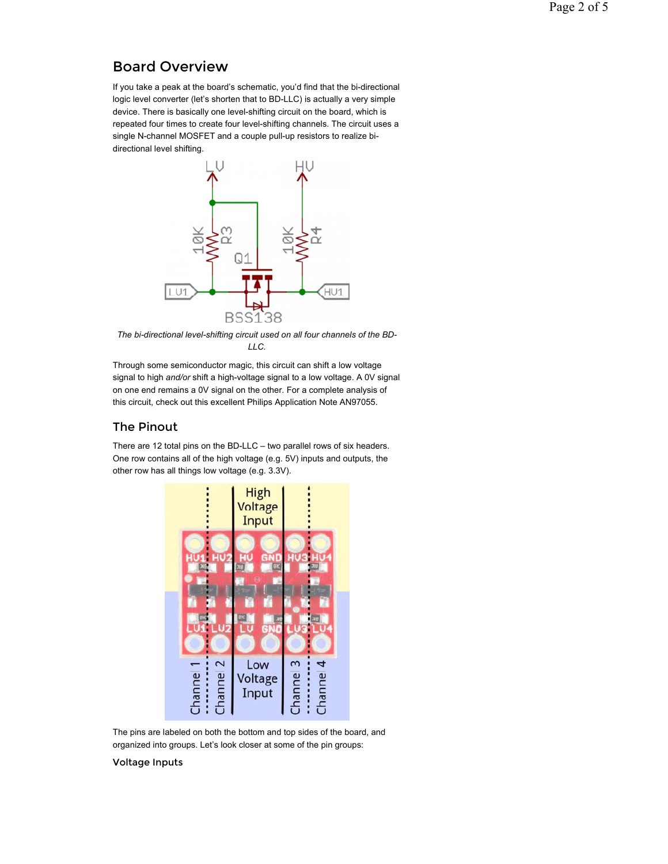## Board Overview

If you take a peak at the board's schematic, you'd find that the bi-directional logic level converter (let's shorten that to BD-LLC) is actually a very simple device. There is basically one level-shifting circuit on the board, which is repeated four times to create four level-shifting channels. The circuit uses a single N-channel MOSFET and a couple pull-up resistors to realize bidirectional level shifting.



*The bi-directional level-shifting circuit used on all four channels of the BD-LLC.*

Through some semiconductor magic, this circuit can shift a low voltage signal to high *and/or* shift a high-voltage signal to a low voltage. A 0V signal on one end remains a 0V signal on the other. For a complete analysis of this circuit, check out this excellent Philips Application Note AN97055.

#### The Pinout

There are 12 total pins on the BD-LLC – two parallel rows of six headers. One row contains all of the high voltage (e.g. 5V) inputs and outputs, the other row has all things low voltage (e.g. 3.3V).



The pins are labeled on both the bottom and top sides of the board, and organized into groups. Let's look closer at some of the pin groups:

#### Voltage Inputs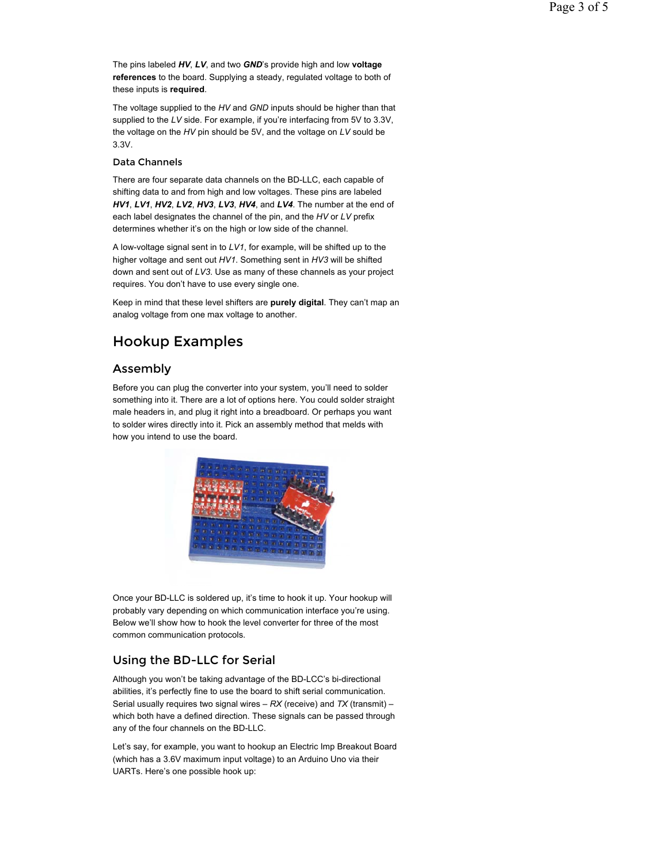The pins labeled *HV*, *LV*, and two *GND*'s provide high and low **voltage references** to the board. Supplying a steady, regulated voltage to both of these inputs is **required**.

The voltage supplied to the *HV* and *GND* inputs should be higher than that supplied to the *LV* side. For example, if you're interfacing from 5V to 3.3V, the voltage on the *HV* pin should be 5V, and the voltage on *LV* sould be 3.3V.

#### Data Channels

There are four separate data channels on the BD-LLC, each capable of shifting data to and from high and low voltages. These pins are labeled *HV1*, *LV1*, *HV2*, *LV2*, *HV3*, *LV3*, *HV4*, and *LV4*. The number at the end of each label designates the channel of the pin, and the *HV* or *LV* prefix determines whether it's on the high or low side of the channel.

A low-voltage signal sent in to *LV1*, for example, will be shifted up to the higher voltage and sent out *HV1*. Something sent in *HV3* will be shifted down and sent out of *LV3*. Use as many of these channels as your project requires. You don't have to use every single one.

Keep in mind that these level shifters are **purely digital**. They can't map an analog voltage from one max voltage to another.

## Hookup Examples

#### Assembly

Before you can plug the converter into your system, you'll need to solder something into it. There are a lot of options here. You could solder straight male headers in, and plug it right into a breadboard. Or perhaps you want to solder wires directly into it. Pick an assembly method that melds with how you intend to use the board.



Once your BD-LLC is soldered up, it's time to hook it up. Your hookup will probably vary depending on which communication interface you're using. Below we'll show how to hook the level converter for three of the most common communication protocols.

#### Using the BD-LLC for Serial

Although you won't be taking advantage of the BD-LCC's bi-directional abilities, it's perfectly fine to use the board to shift serial communication. Serial usually requires two signal wires – *RX* (receive) and *TX* (transmit) – which both have a defined direction. These signals can be passed through any of the four channels on the BD-LLC.

Let's say, for example, you want to hookup an Electric Imp Breakout Board (which has a 3.6V maximum input voltage) to an Arduino Uno via their UARTs. Here's one possible hook up: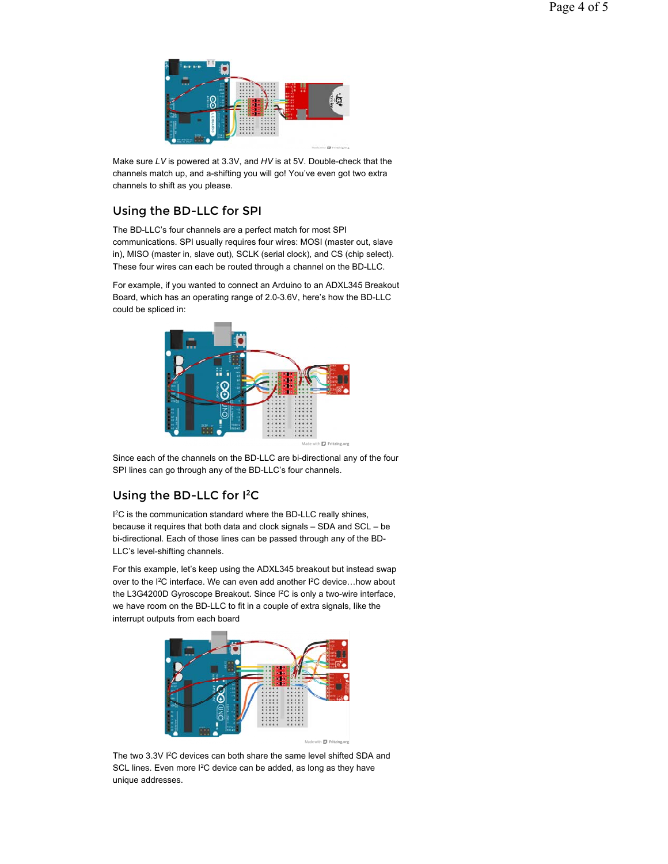

Make sure *LV* is powered at 3.3V, and *HV* is at 5V. Double-check that the channels match up, and a-shifting you will go! You've even got two extra channels to shift as you please.

## Using the BD-LLC for SPI

The BD-LLC's four channels are a perfect match for most SPI communications. SPI usually requires four wires: MOSI (master out, slave in), MISO (master in, slave out), SCLK (serial clock), and CS (chip select). These four wires can each be routed through a channel on the BD-LLC.

For example, if you wanted to connect an Arduino to an ADXL345 Breakout Board, which has an operating range of 2.0-3.6V, here's how the BD-LLC could be spliced in:



Since each of the channels on the BD-LLC are bi-directional any of the four SPI lines can go through any of the BD-LLC's four channels.

## Using the BD-LLC for  $l^2C$

 $I^2C$  is the communication standard where the BD-LLC really shines, because it requires that both data and clock signals – SDA and SCL – be bi-directional. Each of those lines can be passed through any of the BD-LLC's level-shifting channels.

For this example, let's keep using the ADXL345 breakout but instead swap over to the I<sup>2</sup>C interface. We can even add another I<sup>2</sup>C device... how about the L3G4200D Gyroscope Breakout. Since I<sup>2</sup>C is only a two-wire interface, we have room on the BD-LLC to fit in a couple of extra signals, like the interrupt outputs from each board



The two 3.3V I<sup>2</sup>C devices can both share the same level shifted SDA and SCL lines. Even more  $I^2C$  device can be added, as long as they have unique addresses.